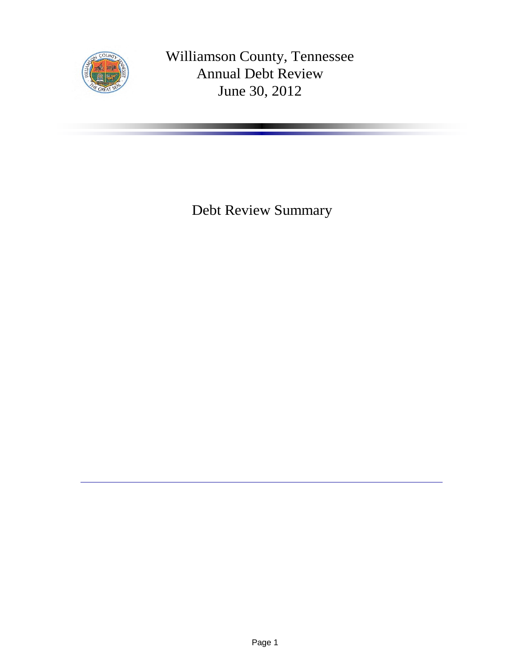

Williamson County, Tennessee Annual Debt Review June 30, 2012

Debt Review Summary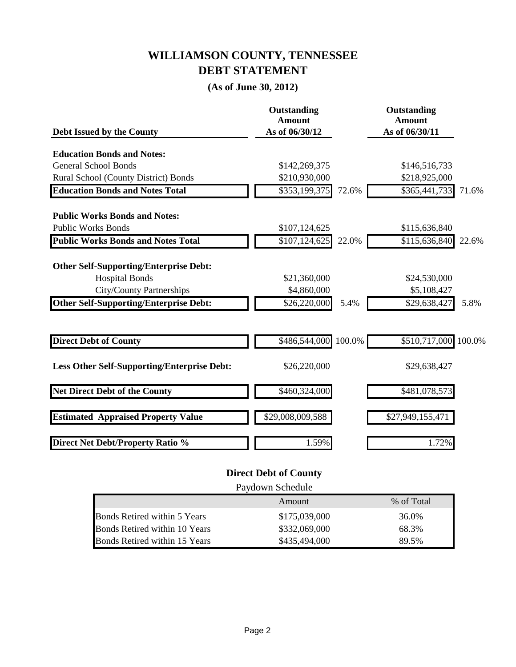### **WILLIAMSON COUNTY, TENNESSEE DEBT STATEMENT**

### **(As of June 30, 2012)**

| Debt Issued by the County                          | Outstanding<br><b>Amount</b><br>As of 06/30/12 |       | Outstanding<br><b>Amount</b><br>As of 06/30/11 |       |
|----------------------------------------------------|------------------------------------------------|-------|------------------------------------------------|-------|
|                                                    |                                                |       |                                                |       |
| <b>Education Bonds and Notes:</b>                  |                                                |       |                                                |       |
| <b>General School Bonds</b>                        | \$142,269,375                                  |       | \$146,516,733                                  |       |
| Rural School (County District) Bonds               | \$210,930,000                                  |       | \$218,925,000                                  |       |
| <b>Education Bonds and Notes Total</b>             | \$353,199,375                                  | 72.6% | \$365,441,733                                  | 71.6% |
| <b>Public Works Bonds and Notes:</b>               |                                                |       |                                                |       |
| <b>Public Works Bonds</b>                          | \$107,124,625                                  |       | \$115,636,840                                  |       |
| <b>Public Works Bonds and Notes Total</b>          | $\overline{$107,124,625}$                      | 22.0% | \$115,636,840                                  | 22.6% |
| <b>Other Self-Supporting/Enterprise Debt:</b>      |                                                |       |                                                |       |
| <b>Hospital Bonds</b>                              | \$21,360,000                                   |       | \$24,530,000                                   |       |
| <b>City/County Partnerships</b>                    | \$4,860,000                                    |       | \$5,108,427                                    |       |
| <b>Other Self-Supporting/Enterprise Debt:</b>      | \$26,220,000                                   | 5.4%  | $\overline{$}29,638,427$                       | 5.8%  |
|                                                    |                                                |       |                                                |       |
| <b>Direct Debt of County</b>                       | \$486,544,000 100.0%                           |       | \$510,717,000 100.0%                           |       |
| <b>Less Other Self-Supporting/Enterprise Debt:</b> | \$26,220,000                                   |       | \$29,638,427                                   |       |
| <b>Net Direct Debt of the County</b>               | \$460,324,000                                  |       | \$481,078,573                                  |       |
| <b>Estimated Appraised Property Value</b>          | \$29,008,009,588                               |       | \$27,949,155,471                               |       |
| <b>Direct Net Debt/Property Ratio %</b>            | 1.59%                                          |       | 1.72%                                          |       |

#### **Direct Debt of County**

| Paydown Schedule              |               |            |  |  |
|-------------------------------|---------------|------------|--|--|
|                               | Amount        | % of Total |  |  |
| Bonds Retired within 5 Years  | \$175,039,000 | 36.0%      |  |  |
| Bonds Retired within 10 Years | \$332,069,000 | 68.3%      |  |  |
| Bonds Retired within 15 Years | \$435,494,000 | 89.5%      |  |  |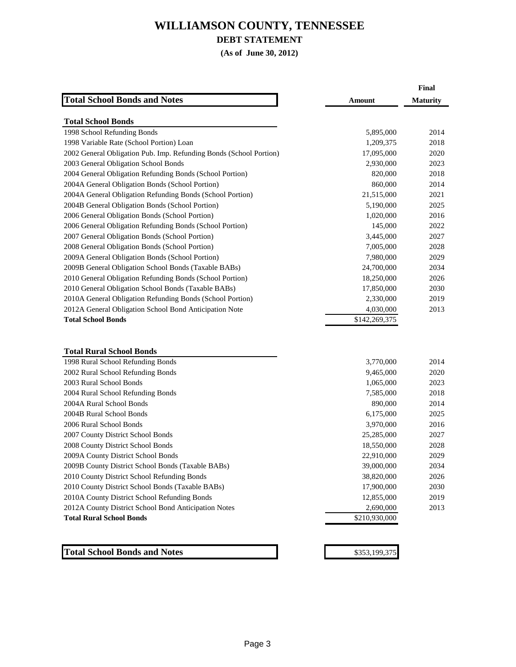### **DEBT STATEMENT**

**(As of June 30, 2012)**

|                                                                    |               | Final           |
|--------------------------------------------------------------------|---------------|-----------------|
| <b>Total School Bonds and Notes</b>                                | <b>Amount</b> | <b>Maturity</b> |
| <b>Total School Bonds</b>                                          |               |                 |
| 1998 School Refunding Bonds                                        | 5,895,000     | 2014            |
| 1998 Variable Rate (School Portion) Loan                           | 1,209,375     | 2018            |
| 2002 General Obligation Pub. Imp. Refunding Bonds (School Portion) | 17,095,000    | 2020            |
| 2003 General Obligation School Bonds                               | 2,930,000     | 2023            |
| 2004 General Obligation Refunding Bonds (School Portion)           | 820,000       | 2018            |
| 2004A General Obligation Bonds (School Portion)                    | 860,000       | 2014            |
| 2004A General Obligation Refunding Bonds (School Portion)          | 21,515,000    | 2021            |
| 2004B General Obligation Bonds (School Portion)                    | 5,190,000     | 2025            |
| 2006 General Obligation Bonds (School Portion)                     | 1,020,000     | 2016            |
| 2006 General Obligation Refunding Bonds (School Portion)           | 145,000       | 2022            |
| 2007 General Obligation Bonds (School Portion)                     | 3,445,000     | 2027            |
| 2008 General Obligation Bonds (School Portion)                     | 7,005,000     | 2028            |
| 2009A General Obligation Bonds (School Portion)                    | 7,980,000     | 2029            |
| 2009B General Obligation School Bonds (Taxable BABs)               | 24,700,000    | 2034            |
| 2010 General Obligation Refunding Bonds (School Portion)           | 18,250,000    | 2026            |
| 2010 General Obligation School Bonds (Taxable BABs)                | 17,850,000    | 2030            |
| 2010A General Obligation Refunding Bonds (School Portion)          | 2,330,000     | 2019            |
| 2012A General Obligation School Bond Anticipation Note             | 4,030,000     | 2013            |
| <b>Total School Bonds</b>                                          | \$142,269,375 |                 |
|                                                                    |               |                 |
| <b>Total Rural School Bonds</b>                                    |               |                 |
| 1008 Rural School Refunding Ronde                                  | 3 770 000     | 2014            |

| 1998 Rural School Refunding Bonds                    | 3,770,000     | 2014 |
|------------------------------------------------------|---------------|------|
| 2002 Rural School Refunding Bonds                    | 9,465,000     | 2020 |
| 2003 Rural School Bonds                              | 1,065,000     | 2023 |
| 2004 Rural School Refunding Bonds                    | 7,585,000     | 2018 |
| 2004A Rural School Bonds                             | 890,000       | 2014 |
| 2004B Rural School Bonds                             | 6,175,000     | 2025 |
| 2006 Rural School Bonds                              | 3,970,000     | 2016 |
| 2007 County District School Bonds                    | 25,285,000    | 2027 |
| 2008 County District School Bonds                    | 18,550,000    | 2028 |
| 2009A County District School Bonds                   | 22,910,000    | 2029 |
| 2009B County District School Bonds (Taxable BABs)    | 39,000,000    | 2034 |
| 2010 County District School Refunding Bonds          | 38,820,000    | 2026 |
| 2010 County District School Bonds (Taxable BABs)     | 17,900,000    | 2030 |
| 2010A County District School Refunding Bonds         | 12,855,000    | 2019 |
| 2012A County District School Bond Anticipation Notes | 2,690,000     | 2013 |
| <b>Total Rural School Bonds</b>                      | \$210,930,000 |      |
|                                                      |               |      |
|                                                      |               |      |

**Total School Bonds and Notes** \$353,199,375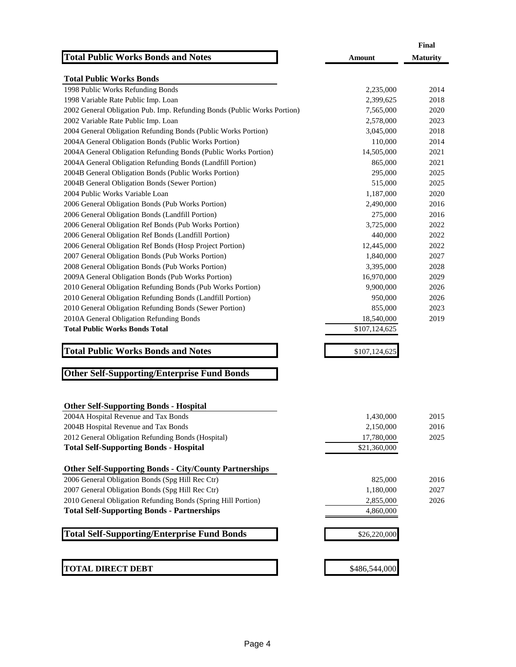|                                                                          |               | Final           |
|--------------------------------------------------------------------------|---------------|-----------------|
| <b>Total Public Works Bonds and Notes</b>                                | Amount        | <b>Maturity</b> |
| <b>Total Public Works Bonds</b>                                          |               |                 |
| 1998 Public Works Refunding Bonds                                        | 2,235,000     | 2014            |
| 1998 Variable Rate Public Imp. Loan                                      | 2,399,625     | 2018            |
| 2002 General Obligation Pub. Imp. Refunding Bonds (Public Works Portion) | 7,565,000     | 2020            |
| 2002 Variable Rate Public Imp. Loan                                      | 2,578,000     | 2023            |
| 2004 General Obligation Refunding Bonds (Public Works Portion)           | 3,045,000     | 2018            |
| 2004A General Obligation Bonds (Public Works Portion)                    | 110,000       | 2014            |
| 2004A General Obligation Refunding Bonds (Public Works Portion)          | 14,505,000    | 2021            |
| 2004A General Obligation Refunding Bonds (Landfill Portion)              | 865,000       | 2021            |
| 2004B General Obligation Bonds (Public Works Portion)                    | 295,000       | 2025            |
| 2004B General Obligation Bonds (Sewer Portion)                           | 515,000       | 2025            |
| 2004 Public Works Variable Loan                                          |               | 2020            |
|                                                                          | 1,187,000     | 2016            |
| 2006 General Obligation Bonds (Pub Works Portion)                        | 2,490,000     |                 |
| 2006 General Obligation Bonds (Landfill Portion)                         | 275,000       | 2016            |
| 2006 General Obligation Ref Bonds (Pub Works Portion)                    | 3,725,000     | 2022            |
| 2006 General Obligation Ref Bonds (Landfill Portion)                     | 440,000       | 2022            |
| 2006 General Obligation Ref Bonds (Hosp Project Portion)                 | 12,445,000    | 2022            |
| 2007 General Obligation Bonds (Pub Works Portion)                        | 1,840,000     | 2027            |
| 2008 General Obligation Bonds (Pub Works Portion)                        | 3,395,000     | 2028            |
| 2009A General Obligation Bonds (Pub Works Portion)                       | 16,970,000    | 2029            |
| 2010 General Obligation Refunding Bonds (Pub Works Portion)              | 9,900,000     | 2026            |
| 2010 General Obligation Refunding Bonds (Landfill Portion)               | 950,000       | 2026            |
| 2010 General Obligation Refunding Bonds (Sewer Portion)                  | 855,000       | 2023            |
| 2010A General Obligation Refunding Bonds                                 | 18,540,000    | 2019            |
| <b>Total Public Works Bonds Total</b>                                    | \$107,124,625 |                 |
| <b>Total Public Works Bonds and Notes</b>                                | \$107,124,625 |                 |
| <b>Other Self-Supporting/Enterprise Fund Bonds</b>                       |               |                 |
| <b>Other Self-Supporting Bonds - Hospital</b>                            |               |                 |
| 2004A Hospital Revenue and Tax Bonds                                     | 1,430,000     | 2015            |
| 2004B Hospital Revenue and Tax Bonds                                     | 2,150,000     | 2016            |
| 2012 General Obligation Refunding Bonds (Hospital)                       | 17,780,000    | 2025            |
| <b>Total Self-Supporting Bonds - Hospital</b>                            | \$21,360,000  |                 |
| <b>Other Self-Supporting Bonds - City/County Partnerships</b>            |               |                 |
| 2006 General Obligation Bonds (Spg Hill Rec Ctr)                         | 825,000       | 2016            |
| 2007 General Obligation Bonds (Spg Hill Rec Ctr)                         | 1,180,000     | 2027            |
| 2010 General Obligation Refunding Bonds (Spring Hill Portion)            | 2,855,000     | 2026            |
| <b>Total Self-Supporting Bonds - Partnerships</b>                        | 4,860,000     |                 |
| <b>Total Self-Supporting/Enterprise Fund Bonds</b>                       | \$26,220,000  |                 |
|                                                                          |               |                 |
| <b>TOTAL DIRECT DEBT</b>                                                 | \$486,544,000 |                 |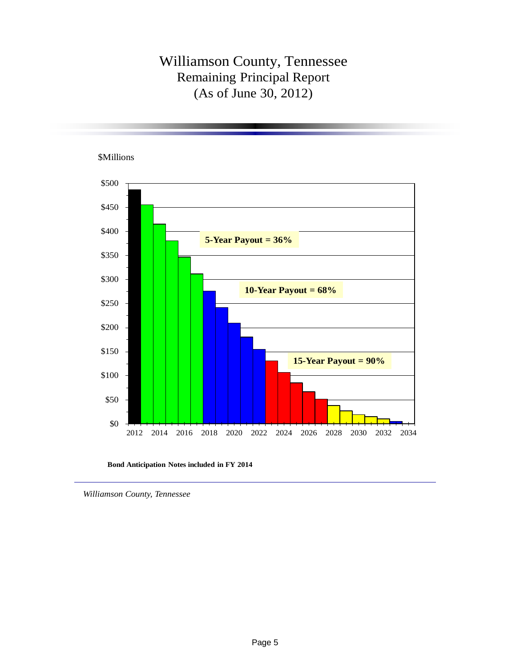## Williamson County, Tennessee Remaining Principal Report (As of June 30, 2012)



**Bond Anticipation Notes included in FY 2014**

*Williamson County, Tennessee*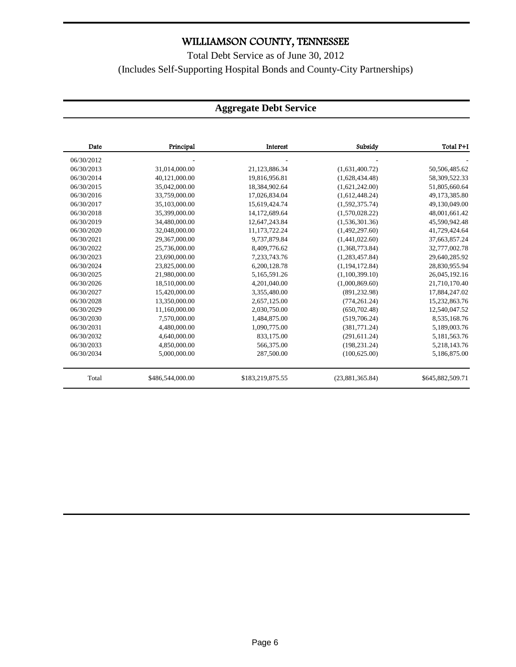Total Debt Service as of June 30, 2012 (Includes Self-Supporting Hospital Bonds and County-City Partnerships)

#### **Part 1 of 3** Date Principal Interest Subsidy Total P+I 06/30/2012 - - - - 06/30/2013 31,014,000.00 21,123,886.34 (1,631,400.72) 50,506,485.62 06/30/2014 40,121,000.00 19,816,956.81 (1,628,434.48) 58,309,522.33 06/30/2015 35,042,000.00 18,384,902.64 (1,621,242.00) 51,805,660.64 06/30/2016 33,759,000.00 17,026,834.04 (1,612,448.24) 49,173,385.80 06/30/2017 35,103,000.00 15,619,424.74 (1,592,375.74) 49,130,049.00 06/30/2018 35,399,000.00 14,172,689.64 (1,570,028.22) 48,001,661.42 06/30/2019 34,480,000.00 12,647,243.84 (1,536,301.36) 45,590,942.48 06/30/2020 32,048,000.00 11,173,722.24 (1,492,297.60) 41,729,424.64 06/30/2021 29,367,000.00 9,737,879.84 (1,441,022.60) 37,663,857.24 06/30/2022 25,736,000.00 8,409,776.62 (1,368,773.84) 32,777,002.78 06/30/2023 23,690,000.00 7,233,743.76 (1,283,457.84) 29,640,285.92 06/30/2024 23,825,000.00 6,200,128.78 (1,194,172.84) 28,830,955.94 06/30/2025 21,980,000.00 5,165,591.26 (1,100,399.10) 26,045,192.16 06/30/2026 18,510,000.00 4,201,040.00 (1,000,869.60) 21,710,170.40 06/30/2027 15,420,000.00 3,355,480.00 (891,232.98) 17,884,247.02 06/30/2028 13,350,000.00 2,657,125.00 (774,261.24) 15,232,863.76 06/30/2029 11,160,000.00 2,030,750.00 (650,702.48) 12,540,047.52 06/30/2030 7,570,000.00 1,484,875.00 (519,706.24) 8,535,168.76 06/30/2031 4,480,000.00 1,090,775.00 (381,771.24) 5,189,003.76 06/30/2032 4,640,000.00 833,175.00 (291,611.24) 5,181,563.76 06/30/2033 4,850,000.00 566,375.00 (198,231.24) 5,218,143.76 06/30/2034 5,000,000.00 287,500.00 (100,625.00) 5,186,875.00 Total \$486,544,000.00 \$183,219,875.55 (23,881,365.84) \$645,882,509.71

#### **Aggregate Debt Service**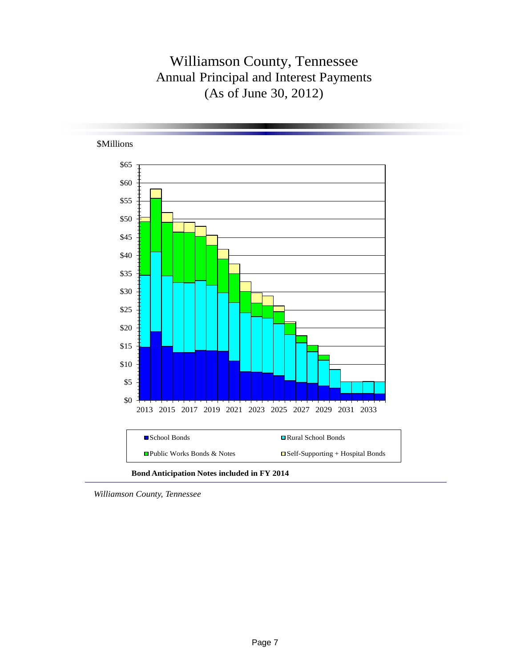# Williamson County, Tennessee Annual Principal and Interest Payments (As of June 30, 2012)



*Williamson County, Tennessee*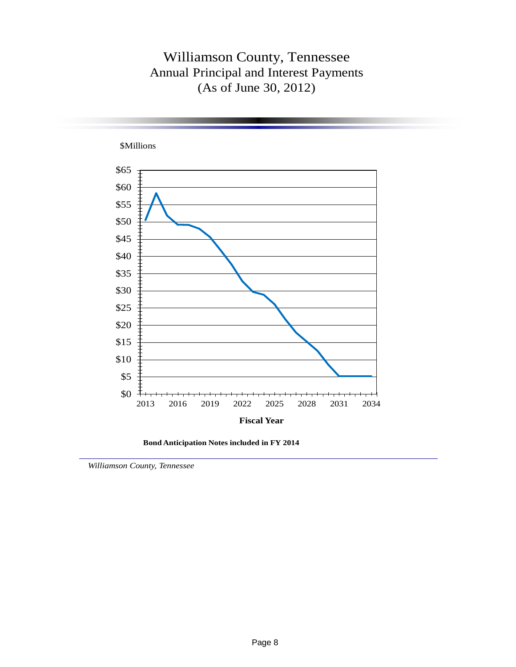## Williamson County, Tennessee Annual Principal and Interest Payments (As of June 30, 2012)



**Bond Anticipation Notes included in FY 2014**

*Williamson County, Tennessee*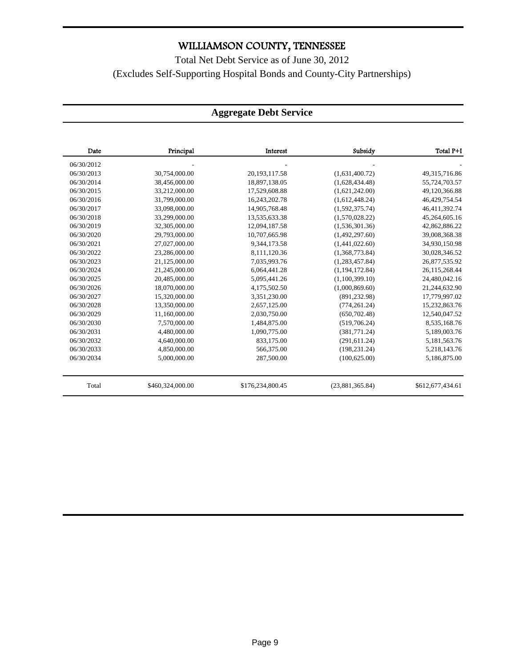### Total Net Debt Service as of June 30, 2012 (Excludes Self-Supporting Hospital Bonds and County-City Partnerships)

#### **Aggregate Debt Service**

| Date       | Principal        | Interest         | Subsidy          | Total P+I        |
|------------|------------------|------------------|------------------|------------------|
| 06/30/2012 |                  |                  |                  |                  |
| 06/30/2013 | 30,754,000.00    | 20, 193, 117.58  | (1,631,400.72)   | 49,315,716.86    |
| 06/30/2014 | 38,456,000.00    | 18,897,138.05    | (1,628,434,48)   | 55,724,703.57    |
| 06/30/2015 | 33,212,000.00    | 17,529,608.88    | (1,621,242.00)   | 49,120,366.88    |
| 06/30/2016 | 31,799,000.00    | 16,243,202.78    | (1,612,448.24)   | 46,429,754.54    |
| 06/30/2017 | 33,098,000.00    | 14,905,768.48    | (1,592,375.74)   | 46,411,392.74    |
| 06/30/2018 | 33,299,000.00    | 13,535,633.38    | (1,570,028.22)   | 45,264,605.16    |
| 06/30/2019 | 32,305,000.00    | 12,094,187.58    | (1,536,301.36)   | 42,862,886.22    |
| 06/30/2020 | 29,793,000.00    | 10,707,665.98    | (1,492,297.60)   | 39,008,368.38    |
| 06/30/2021 | 27,027,000.00    | 9,344,173.58     | (1,441,022.60)   | 34,930,150.98    |
| 06/30/2022 | 23,286,000.00    | 8,111,120.36     | (1,368,773.84)   | 30,028,346.52    |
| 06/30/2023 | 21,125,000.00    | 7,035,993.76     | (1,283,457.84)   | 26,877,535.92    |
| 06/30/2024 | 21,245,000.00    | 6,064,441.28     | (1, 194, 172.84) | 26,115,268.44    |
| 06/30/2025 | 20,485,000.00    | 5,095,441.26     | (1,100,399.10)   | 24,480,042.16    |
| 06/30/2026 | 18,070,000.00    | 4,175,502.50     | (1,000,869.60)   | 21,244,632.90    |
| 06/30/2027 | 15,320,000.00    | 3,351,230.00     | (891, 232.98)    | 17,779,997.02    |
| 06/30/2028 | 13,350,000.00    | 2,657,125.00     | (774, 261.24)    | 15,232,863.76    |
| 06/30/2029 | 11,160,000.00    | 2,030,750.00     | (650, 702.48)    | 12,540,047.52    |
| 06/30/2030 | 7,570,000.00     | 1,484,875.00     | (519,706.24)     | 8,535,168.76     |
| 06/30/2031 | 4,480,000.00     | 1,090,775.00     | (381,771.24)     | 5,189,003.76     |
| 06/30/2032 | 4,640,000.00     | 833,175.00       | (291, 611.24)    | 5,181,563.76     |
| 06/30/2033 | 4,850,000.00     | 566,375.00       | (198, 231, 24)   | 5,218,143.76     |
| 06/30/2034 | 5,000,000.00     | 287,500.00       | (100.625.00)     | 5,186,875.00     |
| Total      | \$460,324,000.00 | \$176,234,800.45 | (23,881,365.84)  | \$612,677,434.61 |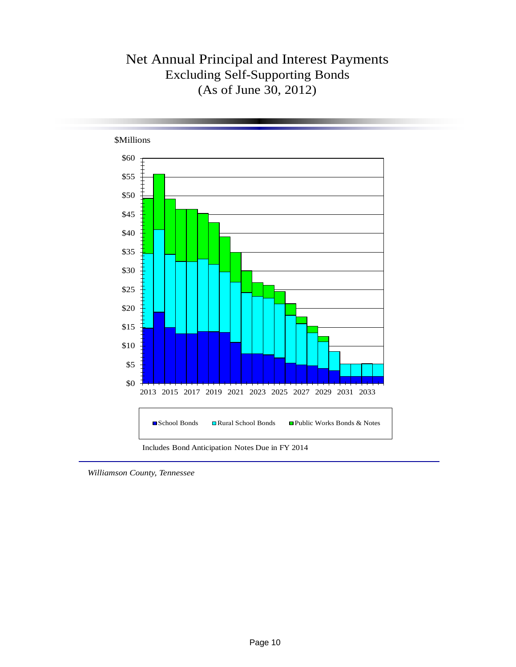## Net Annual Principal and Interest Payments Excluding Self-Supporting Bonds (As of June 30, 2012)



*Williamson County, Tennessee*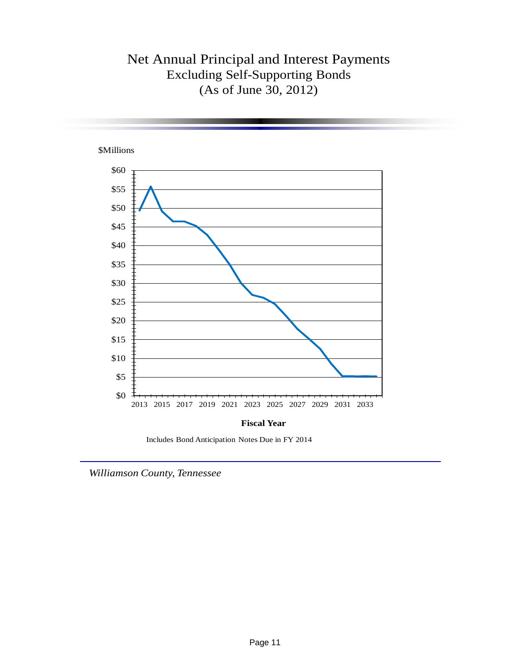## Net Annual Principal and Interest Payments Excluding Self-Supporting Bonds (As of June 30, 2012)



Includes Bond Anticipation Notes Due in FY 2014

*Williamson County, Tennessee*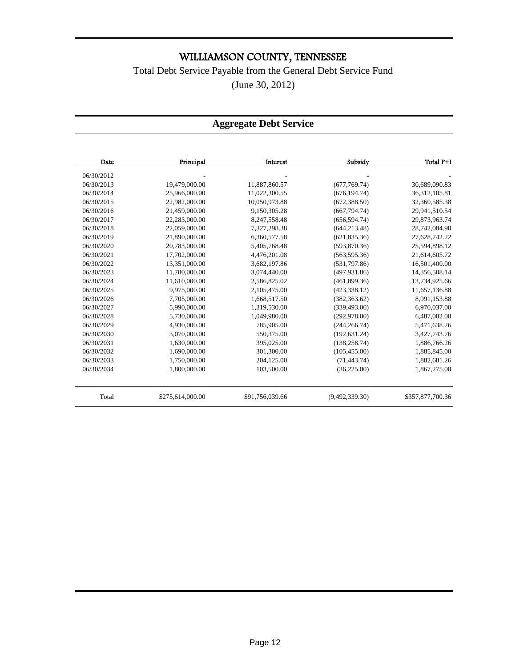### Total Debt Service Payable from the General Debt Service Fund

(June 30, 2012)

#### **Aggregate Debt Service**

| Date       | Principal        | <b>Interest</b> | Subsidy        | Total P+I        |
|------------|------------------|-----------------|----------------|------------------|
| 06/30/2012 |                  |                 |                |                  |
| 06/30/2013 | 19,479,000.00    | 11,887,860.57   | (677,769.74)   | 30,689,090.83    |
| 06/30/2014 | 25,966,000.00    | 11,022,300.55   | (676, 194.74)  | 36, 312, 105.81  |
| 06/30/2015 | 22,982,000.00    | 10,050,973.88   | (672, 388.50)  | 32,360,585.38    |
| 06/30/2016 | 21,459,000.00    | 9,150,305.28    | (667, 794.74)  | 29,941,510.54    |
| 06/30/2017 | 22,283,000.00    | 8,247,558.48    | (656, 594, 74) | 29,873,963.74    |
| 06/30/2018 | 22,059,000.00    | 7,327,298.38    | (644, 213.48)  | 28,742,084.90    |
| 06/30/2019 | 21,890,000.00    | 6,360,577.58    | (621, 835.36)  | 27,628,742.22    |
| 06/30/2020 | 20,783,000.00    | 5,405,768.48    | (593,870.36)   | 25,594,898.12    |
| 06/30/2021 | 17,702,000.00    | 4,476,201.08    | (563, 595, 36) | 21,614,605.72    |
| 06/30/2022 | 13,351,000.00    | 3,682,197.86    | (531,797.86)   | 16,501,400.00    |
| 06/30/2023 | 11,780,000.00    | 3,074,440.00    | (497, 931, 86) | 14,356,508.14    |
| 06/30/2024 | 11,610,000.00    | 2,586,825.02    | (461,899.36)   | 13,734,925.66    |
| 06/30/2025 | 9,975,000.00     | 2,105,475.00    | (423, 338.12)  | 11,657,136.88    |
| 06/30/2026 | 7,705,000.00     | 1,668,517.50    | (382, 363.62)  | 8,991,153.88     |
| 06/30/2027 | 5,990,000.00     | 1,319,530.00    | (339, 493.00)  | 6,970,037.00     |
| 06/30/2028 | 5,730,000.00     | 1,049,980.00    | (292, 978.00)  | 6,487,002.00     |
| 06/30/2029 | 4,930,000.00     | 785,905.00      | (244, 266.74)  | 5,471,638.26     |
| 06/30/2030 | 3.070.000.00     | 550,375.00      | (192, 631.24)  | 3,427,743.76     |
| 06/30/2031 | 1,630,000.00     | 395,025.00      | (138, 258, 74) | 1,886,766.26     |
| 06/30/2032 | 1,690,000.00     | 301,300.00      | (105, 455.00)  | 1,885,845.00     |
| 06/30/2033 | 1,750,000.00     | 204,125.00      | (71, 443.74)   | 1,882,681.26     |
| 06/30/2034 | 1,800,000.00     | 103,500.00      | (36, 225.00)   | 1,867,275.00     |
| Total      | \$275,614,000.00 | \$91,756,039.66 | (9,492,339.30) | \$357,877,700.36 |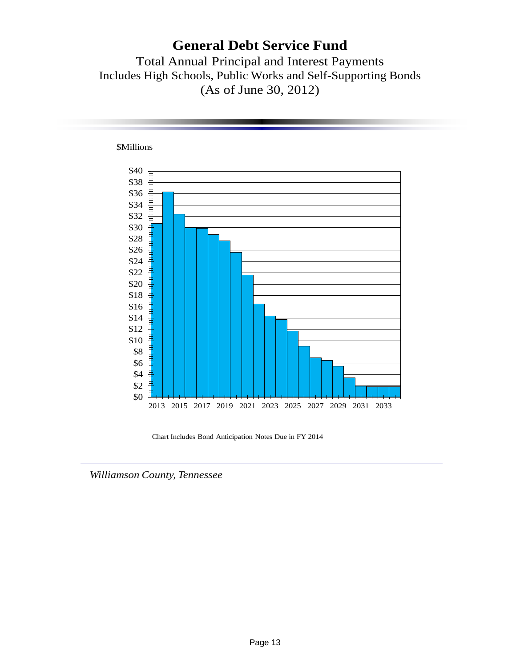### **General Debt Service Fund**

Total Annual Principal and Interest Payments Includes High Schools, Public Works and Self-Supporting Bonds (As of June 30, 2012)



**\$Millions** 

Chart Includes Bond Anticipation Notes Due in FY 2014

*Williamson County, Tennessee*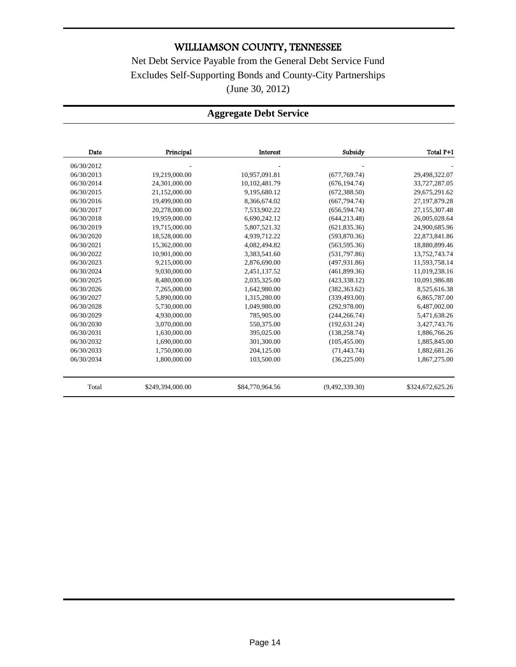Net Debt Service Payable from the General Debt Service Fund Excludes Self-Supporting Bonds and County-City Partnerships (June 30, 2012)

### **Aggregate Debt Service**

| Date       | Principal        | Interest        | Subsidy        | Total P+I        |
|------------|------------------|-----------------|----------------|------------------|
| 06/30/2012 |                  |                 |                |                  |
| 06/30/2013 | 19,219,000.00    | 10.957.091.81   | (677,769.74)   | 29,498,322.07    |
| 06/30/2014 | 24,301,000.00    | 10, 102, 481.79 | (676, 194.74)  | 33,727,287.05    |
| 06/30/2015 | 21,152,000.00    | 9,195,680.12    | (672, 388.50)  | 29,675,291.62    |
| 06/30/2016 | 19,499,000.00    | 8,366,674.02    | (667, 794.74)  | 27, 197, 879. 28 |
| 06/30/2017 | 20.278,000.00    | 7.533.902.22    | (656, 594.74)  | 27,155,307.48    |
| 06/30/2018 | 19,959,000.00    | 6.690.242.12    | (644, 213.48)  | 26,005,028.64    |
| 06/30/2019 | 19,715,000.00    | 5,807,521.32    | (621, 835.36)  | 24,900,685.96    |
| 06/30/2020 | 18,528,000.00    | 4,939,712.22    | (593,870.36)   | 22,873,841.86    |
| 06/30/2021 | 15,362,000.00    | 4,082,494.82    | (563, 595, 36) | 18,880,899.46    |
| 06/30/2022 | 10,901,000.00    | 3,383,541.60    | (531,797.86)   | 13,752,743.74    |
| 06/30/2023 | 9.215.000.00     | 2.876.690.00    | (497, 931.86)  | 11,593,758.14    |
| 06/30/2024 | 9.030.000.00     | 2.451.137.52    | (461, 899, 36) | 11,019,238.16    |
| 06/30/2025 | 8,480,000.00     | 2,035,325.00    | (423, 338.12)  | 10,091,986.88    |
| 06/30/2026 | 7,265,000.00     | 1,642,980.00    | (382, 363.62)  | 8,525,616.38     |
| 06/30/2027 | 5,890,000.00     | 1,315,280.00    | (339, 493.00)  | 6,865,787.00     |
| 06/30/2028 | 5,730,000.00     | 1,049,980.00    | (292, 978.00)  | 6,487,002.00     |
| 06/30/2029 | 4,930,000.00     | 785,905.00      | (244, 266.74)  | 5,471,638.26     |
| 06/30/2030 | 3.070.000.00     | 550,375.00      | (192, 631.24)  | 3,427,743.76     |
| 06/30/2031 | 1,630,000.00     | 395,025.00      | (138, 258, 74) | 1,886,766.26     |
| 06/30/2032 | 1,690,000.00     | 301,300.00      | (105, 455.00)  | 1,885,845.00     |
| 06/30/2033 | 1,750,000.00     | 204,125.00      | (71, 443.74)   | 1,882,681.26     |
| 06/30/2034 | 1,800,000.00     | 103,500.00      | (36, 225.00)   | 1,867,275.00     |
| Total      | \$249,394,000.00 | \$84,770,964.56 | (9,492,339.30) | \$324,672,625.26 |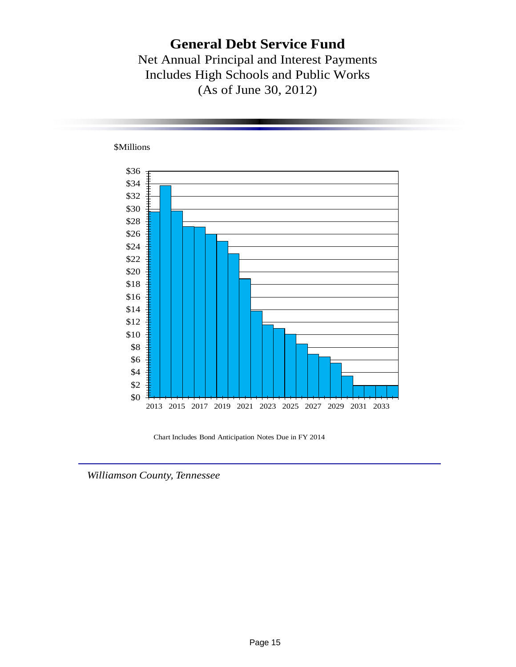### **General Debt Service Fund**

Net Annual Principal and Interest Payments Includes High Schools and Public Works (As of June 30, 2012)



Chart Includes Bond Anticipation Notes Due in FY 2014

*Williamson County, Tennessee*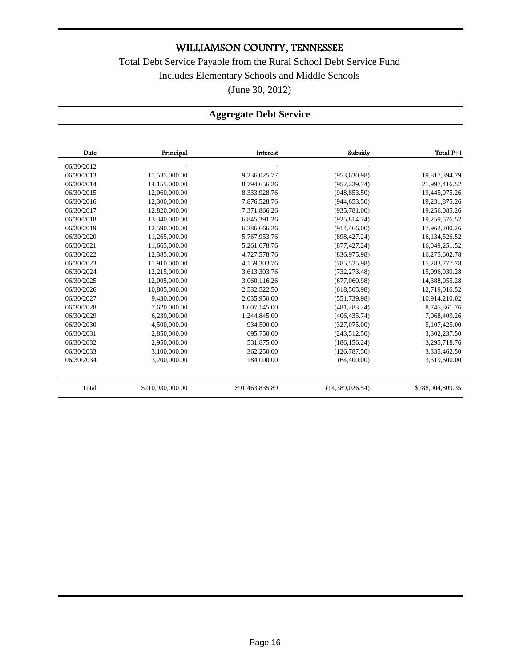Total Debt Service Payable from the Rural School Debt Service Fund Includes Elementary Schools and Middle Schools (June 30, 2012)

### **Aggregate Debt Service**

| Date       | Principal        | Interest        | Subsidy         | Total P+I        |
|------------|------------------|-----------------|-----------------|------------------|
| 06/30/2012 |                  |                 |                 |                  |
| 06/30/2013 | 11,535,000.00    | 9,236,025.77    | (953, 630.98)   | 19,817,394.79    |
| 06/30/2014 | 14,155,000.00    | 8,794,656.26    | (952, 239.74)   | 21,997,416.52    |
| 06/30/2015 | 12,060,000.00    | 8,333,928.76    | (948, 853.50)   | 19,445,075.26    |
| 06/30/2016 | 12,300,000.00    | 7,876,528.76    | (944, 653.50)   | 19,231,875.26    |
| 06/30/2017 | 12,820,000.00    | 7,371,866.26    | (935, 781.00)   | 19,256,085.26    |
| 06/30/2018 | 13.340.000.00    | 6,845,391.26    | (925, 814.74)   | 19,259,576.52    |
| 06/30/2019 | 12,590,000.00    | 6,286,666.26    | (914, 466.00)   | 17,962,200.26    |
| 06/30/2020 | 11,265,000.00    | 5,767,953.76    | (898, 427.24)   | 16, 134, 526. 52 |
| 06/30/2021 | 11,665,000.00    | 5,261,678.76    | (877, 427, 24)  | 16,049,251.52    |
| 06/30/2022 | 12,385,000.00    | 4,727,578.76    | (836,975.98)    | 16,275,602.78    |
| 06/30/2023 | 11,910,000.00    | 4,159,303.76    | (785, 525.98)   | 15,283,777.78    |
| 06/30/2024 | 12,215,000.00    | 3,613,303.76    | (732, 273.48)   | 15,096,030.28    |
| 06/30/2025 | 12,005,000.00    | 3,060,116.26    | (677,060.98)    | 14,388,055.28    |
| 06/30/2026 | 10,805,000.00    | 2,532,522.50    | (618, 505.98)   | 12,719,016.52    |
| 06/30/2027 | 9,430,000.00     | 2,035,950.00    | (551, 739.98)   | 10,914,210.02    |
| 06/30/2028 | 7,620,000.00     | 1,607,145.00    | (481, 283, 24)  | 8,745,861.76     |
| 06/30/2029 | 6,230,000.00     | 1,244,845.00    | (406, 435, 74)  | 7,068,409.26     |
| 06/30/2030 | 4,500,000.00     | 934,500.00      | (327,075.00)    | 5,107,425.00     |
| 06/30/2031 | 2,850,000.00     | 695,750.00      | (243, 512, 50)  | 3,302,237.50     |
| 06/30/2032 | 2,950,000.00     | 531,875.00      | (186, 156.24)   | 3,295,718.76     |
| 06/30/2033 | 3,100,000.00     | 362,250.00      | (126, 787.50)   | 3,335,462.50     |
| 06/30/2034 | 3,200,000.00     | 184,000.00      | (64,400.00)     | 3,319,600.00     |
| Total      | \$210,930,000.00 | \$91,463,835.89 | (14,389,026.54) | \$288,004,809.35 |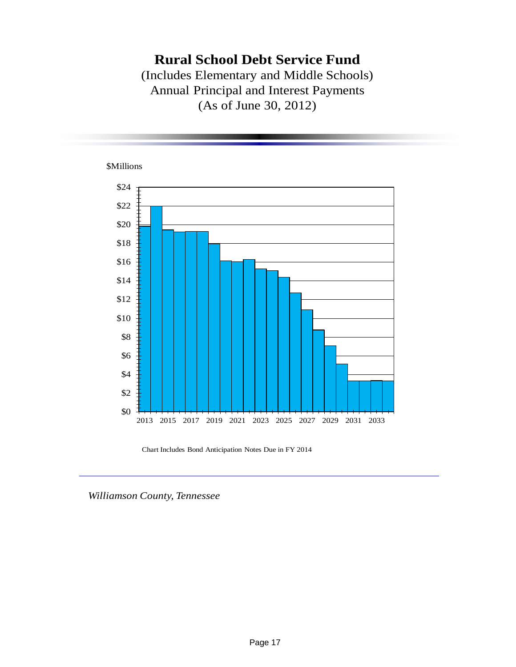## **Rural School Debt Service Fund**

(Includes Elementary and Middle Schools) Annual Principal and Interest Payments (As of June 30, 2012)



Chart Includes Bond Anticipation Notes Due in FY 2014

*Williamson County, Tennessee*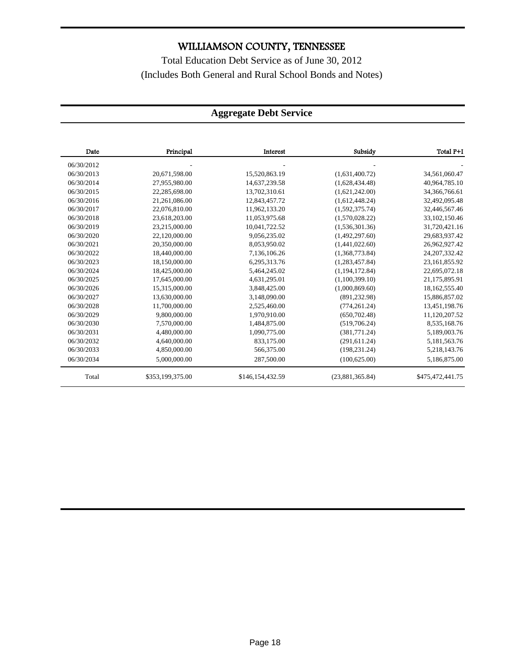Total Education Debt Service as of June 30, 2012 (Includes Both General and Rural School Bonds and Notes)

### **Aggregate Debt Service**

| Date       | Principal        | Interest         | Subsidy         | Total P+I        |
|------------|------------------|------------------|-----------------|------------------|
| 06/30/2012 |                  |                  |                 |                  |
| 06/30/2013 | 20,671,598.00    | 15,520,863.19    | (1,631,400.72)  | 34,561,060.47    |
| 06/30/2014 | 27,955,980.00    | 14,637,239.58    | (1,628,434,48)  | 40,964,785.10    |
| 06/30/2015 | 22,285,698.00    | 13,702,310.61    | (1,621,242.00)  | 34,366,766.61    |
| 06/30/2016 | 21,261,086.00    | 12,843,457.72    | (1,612,448.24)  | 32,492,095.48    |
| 06/30/2017 | 22,076,810.00    | 11,962,133.20    | (1,592,375.74)  | 32,446,567.46    |
| 06/30/2018 | 23,618,203.00    | 11,053,975.68    | (1,570,028.22)  | 33,102,150.46    |
| 06/30/2019 | 23,215,000.00    | 10,041,722.52    | (1,536,301.36)  | 31,720,421.16    |
| 06/30/2020 | 22,120,000.00    | 9,056,235.02     | (1,492,297.60)  | 29,683,937.42    |
| 06/30/2021 | 20,350,000.00    | 8,053,950.02     | (1,441,022.60)  | 26,962,927.42    |
| 06/30/2022 | 18,440,000.00    | 7,136,106.26     | (1,368,773.84)  | 24, 207, 332. 42 |
| 06/30/2023 | 18,150,000.00    | 6,295,313.76     | (1,283,457.84)  | 23,161,855.92    |
| 06/30/2024 | 18,425,000.00    | 5,464,245.02     | (1,194,172.84)  | 22,695,072.18    |
| 06/30/2025 | 17.645.000.00    | 4,631,295.01     | (1.100.399.10)  | 21,175,895.91    |
| 06/30/2026 | 15.315.000.00    | 3.848.425.00     | (1,000,869.60)  | 18,162,555.40    |
| 06/30/2027 | 13,630,000.00    | 3,148,090.00     | (891, 232.98)   | 15,886,857.02    |
| 06/30/2028 | 11,700,000.00    | 2,525,460.00     | (774, 261.24)   | 13,451,198.76    |
| 06/30/2029 | 9,800,000.00     | 1,970,910.00     | (650, 702.48)   | 11,120,207.52    |
| 06/30/2030 | 7,570,000.00     | 1,484,875.00     | (519,706.24)    | 8,535,168.76     |
| 06/30/2031 | 4,480,000.00     | 1,090,775.00     | (381,771.24)    | 5,189,003.76     |
| 06/30/2032 | 4,640,000.00     | 833,175.00       | (291, 611.24)   | 5,181,563.76     |
| 06/30/2033 | 4,850,000.00     | 566,375.00       | (198, 231.24)   | 5,218,143.76     |
| 06/30/2034 | 5,000,000.00     | 287,500.00       | (100, 625.00)   | 5,186,875.00     |
| Total      | \$353,199,375.00 | \$146,154,432.59 | (23,881,365.84) | \$475,472,441.75 |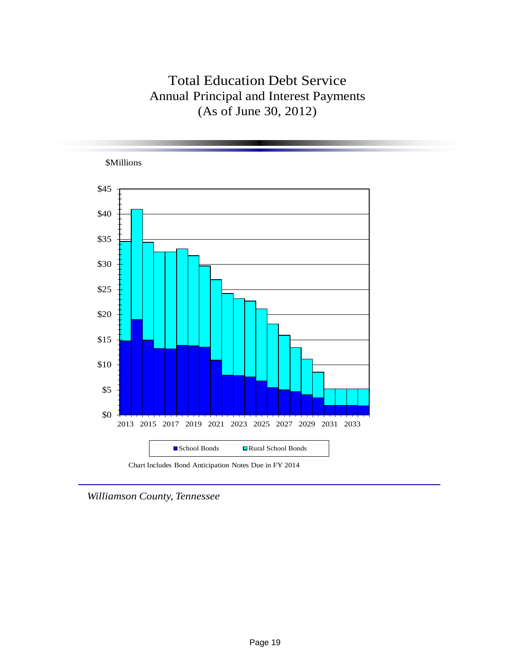## Total Education Debt Service Annual Principal and Interest Payments (As of June 30, 2012)



*Williamson County, Tennessee*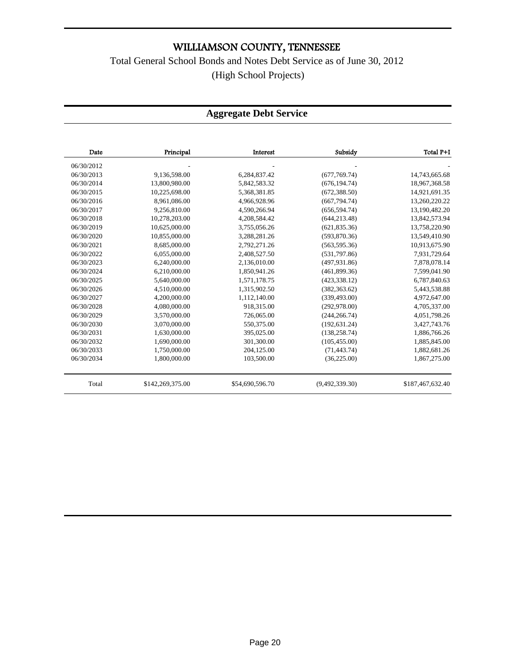### Total General School Bonds and Notes Debt Service as of June 30, 2012 (High School Projects)

### **Aggregate Debt Service**

| Date       | Principal        | <b>Interest</b> | Subsidy        | Total P+I        |
|------------|------------------|-----------------|----------------|------------------|
| 06/30/2012 |                  |                 |                |                  |
| 06/30/2013 | 9,136,598.00     | 6.284.837.42    | (677,769.74)   | 14,743,665.68    |
| 06/30/2014 | 13,800,980.00    | 5,842,583.32    | (676, 194.74)  | 18,967,368.58    |
| 06/30/2015 | 10,225,698.00    | 5,368,381.85    | (672, 388, 50) | 14,921,691.35    |
| 06/30/2016 | 8,961,086.00     | 4,966,928.96    | (667, 794, 74) | 13,260,220.22    |
| 06/30/2017 | 9,256,810.00     | 4,590,266.94    | (656, 594, 74) | 13,190,482.20    |
| 06/30/2018 | 10,278,203.00    | 4,208,584.42    | (644, 213.48)  | 13,842,573.94    |
| 06/30/2019 | 10,625,000.00    | 3,755,056.26    | (621, 835.36)  | 13,758,220.90    |
| 06/30/2020 | 10,855,000.00    | 3,288,281.26    | (593, 870.36)  | 13,549,410.90    |
| 06/30/2021 | 8,685,000.00     | 2,792,271.26    | (563, 595, 36) | 10,913,675.90    |
| 06/30/2022 | 6,055,000.00     | 2,408,527.50    | (531,797.86)   | 7,931,729.64     |
| 06/30/2023 | 6,240,000.00     | 2,136,010.00    | (497.931.86)   | 7,878,078.14     |
| 06/30/2024 | 6,210,000.00     | 1,850,941.26    | (461, 899.36)  | 7,599,041.90     |
| 06/30/2025 | 5,640,000.00     | 1,571,178.75    | (423, 338.12)  | 6,787,840.63     |
| 06/30/2026 | 4,510,000.00     | 1,315,902.50    | (382, 363.62)  | 5,443,538.88     |
| 06/30/2027 | 4,200,000.00     | 1,112,140.00    | (339, 493.00)  | 4,972,647.00     |
| 06/30/2028 | 4,080,000.00     | 918,315.00      | (292, 978.00)  | 4,705,337.00     |
| 06/30/2029 | 3.570,000.00     | 726,065.00      | (244, 266.74)  | 4,051,798.26     |
| 06/30/2030 | 3,070,000.00     | 550,375.00      | (192, 631.24)  | 3,427,743.76     |
| 06/30/2031 | 1,630,000.00     | 395,025.00      | (138, 258.74)  | 1,886,766.26     |
| 06/30/2032 | 1,690,000.00     | 301,300.00      | (105, 455.00)  | 1,885,845.00     |
| 06/30/2033 | 1,750,000.00     | 204,125.00      | (71, 443.74)   | 1,882,681.26     |
| 06/30/2034 | 1,800,000.00     | 103,500.00      | (36, 225.00)   | 1,867,275.00     |
| Total      | \$142,269,375.00 | \$54,690,596.70 | (9,492,339.30) | \$187,467,632.40 |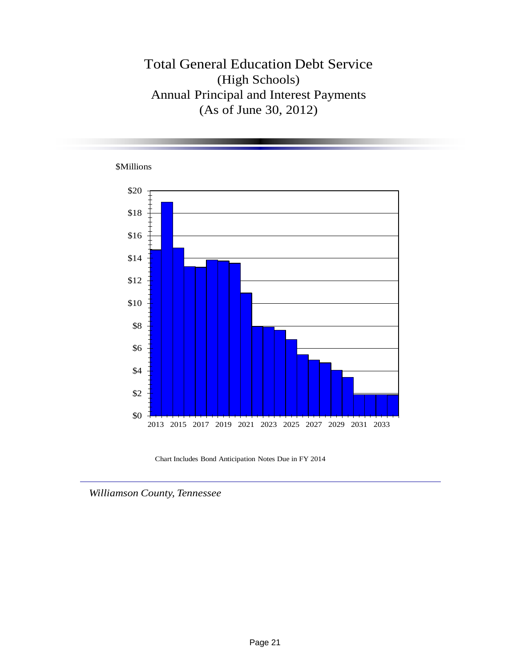### Total General Education Debt Service (High Schools) Annual Principal and Interest Payments (As of June 30, 2012)



Chart Includes Bond Anticipation Notes Due in FY 2014

*Williamson County, Tennessee*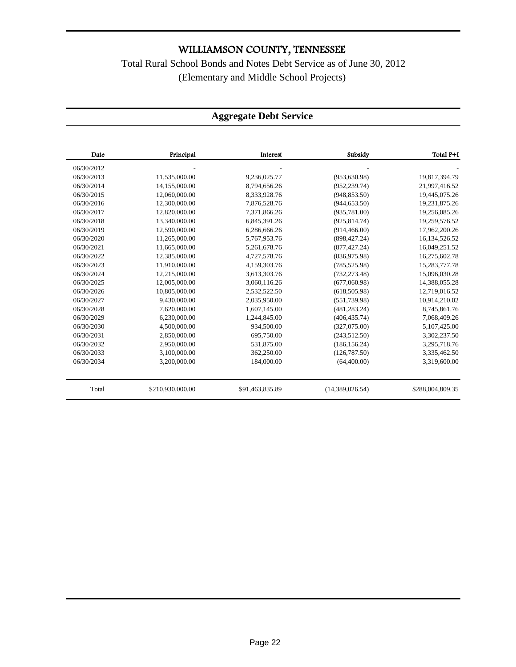Total Rural School Bonds and Notes Debt Service as of June 30, 2012 (Elementary and Middle School Projects)

#### **Aggregate Debt Service**

| Date       | Principal        | Interest        | Subsidy         | Total P+I        |
|------------|------------------|-----------------|-----------------|------------------|
| 06/30/2012 |                  |                 |                 |                  |
| 06/30/2013 | 11,535,000.00    | 9,236,025.77    | (953, 630.98)   | 19,817,394.79    |
| 06/30/2014 | 14,155,000.00    | 8,794,656.26    | (952, 239.74)   | 21,997,416.52    |
| 06/30/2015 | 12,060,000.00    | 8,333,928.76    | (948, 853.50)   | 19,445,075.26    |
| 06/30/2016 | 12,300,000.00    | 7,876,528.76    | (944, 653.50)   | 19,231,875.26    |
| 06/30/2017 | 12,820,000.00    | 7,371,866.26    | (935, 781.00)   | 19,256,085.26    |
| 06/30/2018 | 13,340,000.00    | 6,845,391.26    | (925, 814.74)   | 19,259,576.52    |
| 06/30/2019 | 12,590,000.00    | 6,286,666.26    | (914, 466.00)   | 17,962,200.26    |
| 06/30/2020 | 11.265.000.00    | 5,767,953.76    | (898, 427.24)   | 16,134,526.52    |
| 06/30/2021 | 11,665,000.00    | 5,261,678.76    | (877, 427.24)   | 16,049,251.52    |
| 06/30/2022 | 12,385,000.00    | 4,727,578.76    | (836, 975.98)   | 16,275,602.78    |
| 06/30/2023 | 11.910.000.00    | 4.159.303.76    | (785, 525.98)   | 15,283,777.78    |
| 06/30/2024 | 12,215,000.00    | 3,613,303.76    | (732, 273.48)   | 15,096,030.28    |
| 06/30/2025 | 12,005,000.00    | 3,060,116.26    | (677,060.98)    | 14,388,055.28    |
| 06/30/2026 | 10,805,000.00    | 2,532,522.50    | (618, 505.98)   | 12,719,016.52    |
| 06/30/2027 | 9,430,000.00     | 2,035,950.00    | (551, 739.98)   | 10,914,210.02    |
| 06/30/2028 | 7,620,000.00     | 1,607,145.00    | (481, 283, 24)  | 8,745,861.76     |
| 06/30/2029 | 6,230,000.00     | 1,244,845.00    | (406, 435, 74)  | 7,068,409.26     |
| 06/30/2030 | 4,500,000.00     | 934,500.00      | (327,075.00)    | 5,107,425.00     |
| 06/30/2031 | 2,850,000.00     | 695,750.00      | (243, 512, 50)  | 3,302,237.50     |
| 06/30/2032 | 2,950,000.00     | 531,875.00      | (186, 156.24)   | 3,295,718.76     |
| 06/30/2033 | 3,100,000.00     | 362,250.00      | (126, 787, 50)  | 3,335,462.50     |
| 06/30/2034 | 3,200,000.00     | 184,000.00      | (64, 400.00)    | 3,319,600.00     |
| Total      | \$210,930,000.00 | \$91,463,835.89 | (14,389,026.54) | \$288,004,809.35 |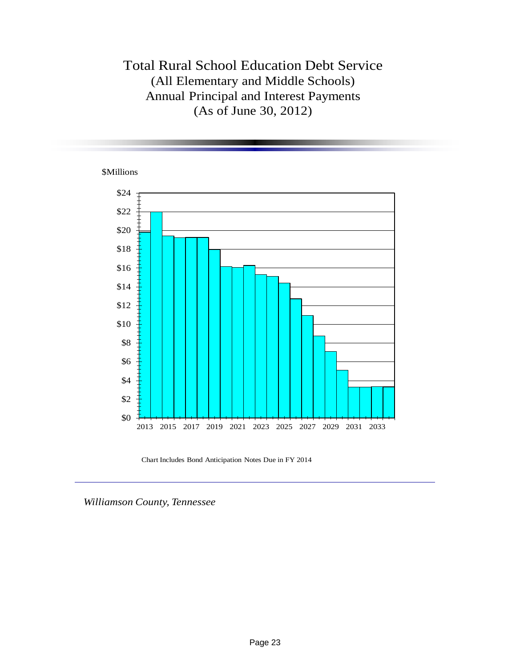### Total Rural School Education Debt Service (All Elementary and Middle Schools) Annual Principal and Interest Payments (As of June 30, 2012)

#### \$Millions



Chart Includes Bond Anticipation Notes Due in FY 2014

*Williamson County, Tennessee*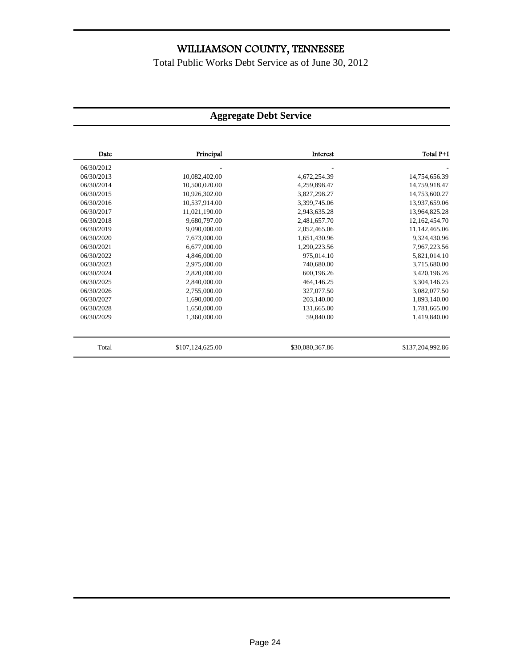Total Public Works Debt Service as of June 30, 2012

### **Aggregate Debt Service**

| Date       | Principal        | Interest        | Total P+I        |
|------------|------------------|-----------------|------------------|
| 06/30/2012 |                  |                 |                  |
| 06/30/2013 | 10,082,402.00    | 4,672,254.39    | 14,754,656.39    |
| 06/30/2014 | 10,500,020.00    | 4,259,898.47    | 14,759,918.47    |
| 06/30/2015 | 10,926,302.00    | 3,827,298.27    | 14,753,600.27    |
| 06/30/2016 | 10,537,914.00    | 3,399,745.06    | 13,937,659.06    |
| 06/30/2017 | 11,021,190.00    | 2,943,635.28    | 13,964,825.28    |
| 06/30/2018 | 9,680,797.00     | 2,481,657.70    | 12,162,454.70    |
| 06/30/2019 | 9,090,000.00     | 2,052,465.06    | 11,142,465.06    |
| 06/30/2020 | 7,673,000.00     | 1,651,430.96    | 9,324,430.96     |
| 06/30/2021 | 6,677,000.00     | 1,290,223.56    | 7,967,223.56     |
| 06/30/2022 | 4,846,000.00     | 975,014.10      | 5,821,014.10     |
| 06/30/2023 | 2,975,000.00     | 740,680.00      | 3,715,680.00     |
| 06/30/2024 | 2,820,000.00     | 600,196.26      | 3,420,196.26     |
| 06/30/2025 | 2,840,000.00     | 464,146.25      | 3,304,146.25     |
| 06/30/2026 | 2,755,000.00     | 327,077.50      | 3,082,077.50     |
| 06/30/2027 | 1,690,000.00     | 203,140.00      | 1,893,140.00     |
| 06/30/2028 | 1,650,000.00     | 131,665.00      | 1,781,665.00     |
| 06/30/2029 | 1,360,000.00     | 59,840.00       | 1,419,840.00     |
| Total      | \$107,124,625.00 | \$30,080,367.86 | \$137,204,992.86 |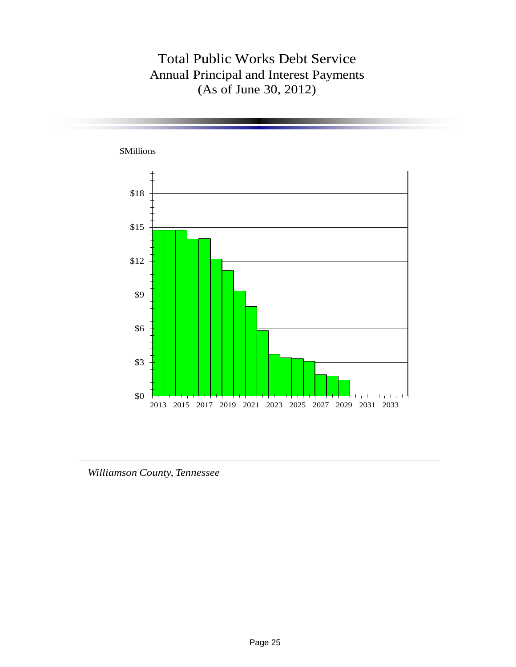## Total Public Works Debt Service Annual Principal and Interest Payments (As of June 30, 2012)



*Williamson County, Tennessee*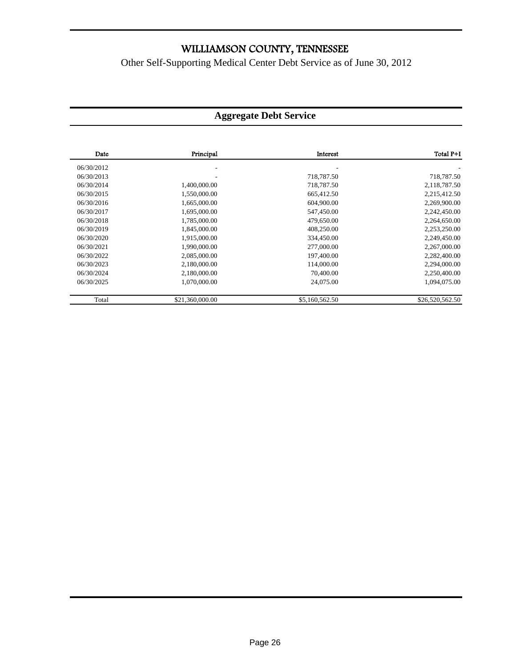Other Self-Supporting Medical Center Debt Service as of June 30, 2012

### **Aggregate Debt Service**

| Date       | Principal       | Interest       | Total P+I       |
|------------|-----------------|----------------|-----------------|
| 06/30/2012 |                 |                |                 |
| 06/30/2013 |                 | 718,787.50     | 718,787.50      |
| 06/30/2014 | 1,400,000.00    | 718,787.50     | 2,118,787.50    |
| 06/30/2015 | 1,550,000.00    | 665,412.50     | 2,215,412.50    |
| 06/30/2016 | 1,665,000.00    | 604,900.00     | 2,269,900.00    |
| 06/30/2017 | 1.695.000.00    | 547,450.00     | 2,242,450.00    |
| 06/30/2018 | 1,785,000.00    | 479,650.00     | 2,264,650.00    |
| 06/30/2019 | 1,845,000.00    | 408,250.00     | 2,253,250.00    |
| 06/30/2020 | 1,915,000.00    | 334,450.00     | 2,249,450.00    |
| 06/30/2021 | 1,990,000.00    | 277,000.00     | 2,267,000.00    |
| 06/30/2022 | 2,085,000.00    | 197,400.00     | 2,282,400.00    |
| 06/30/2023 | 2,180,000.00    | 114,000.00     | 2,294,000.00    |
| 06/30/2024 | 2,180,000.00    | 70,400.00      | 2,250,400.00    |
| 06/30/2025 | 1,070,000.00    | 24,075.00      | 1,094,075.00    |
| Total      | \$21,360,000.00 | \$5,160,562.50 | \$26,520,562.50 |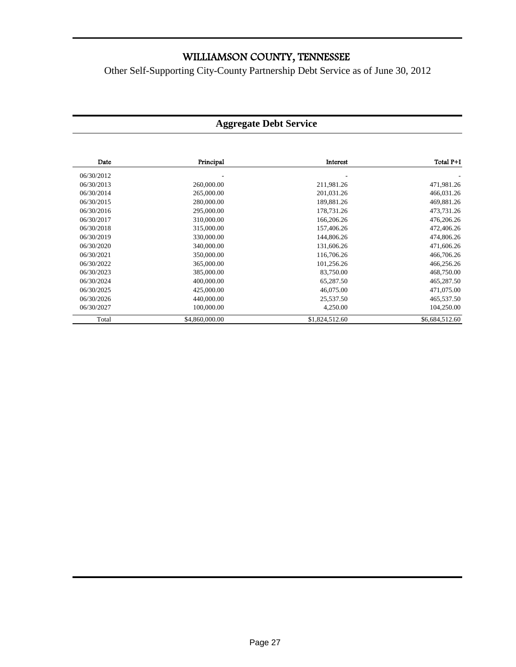Other Self-Supporting City-County Partnership Debt Service as of June 30, 2012

#### **Aggregate Debt Service**

| Date       | Principal      | Interest       | Total P+I      |
|------------|----------------|----------------|----------------|
| 06/30/2012 |                |                |                |
| 06/30/2013 | 260,000.00     | 211,981.26     | 471,981.26     |
| 06/30/2014 | 265,000.00     | 201,031.26     | 466,031.26     |
| 06/30/2015 | 280,000.00     | 189,881.26     | 469,881.26     |
| 06/30/2016 | 295,000.00     | 178,731.26     | 473,731.26     |
| 06/30/2017 | 310,000.00     | 166,206.26     | 476,206.26     |
| 06/30/2018 | 315,000.00     | 157,406.26     | 472,406.26     |
| 06/30/2019 | 330,000.00     | 144,806.26     | 474,806.26     |
| 06/30/2020 | 340,000.00     | 131,606.26     | 471,606.26     |
| 06/30/2021 | 350,000.00     | 116,706.26     | 466,706.26     |
| 06/30/2022 | 365,000.00     | 101,256.26     | 466,256.26     |
| 06/30/2023 | 385,000.00     | 83,750.00      | 468,750.00     |
| 06/30/2024 | 400,000.00     | 65,287.50      | 465,287.50     |
| 06/30/2025 | 425,000.00     | 46,075.00      | 471,075.00     |
| 06/30/2026 | 440,000.00     | 25,537.50      | 465,537.50     |
| 06/30/2027 | 100,000.00     | 4,250.00       | 104,250.00     |
| Total      | \$4,860,000.00 | \$1,824,512.60 | \$6,684,512.60 |